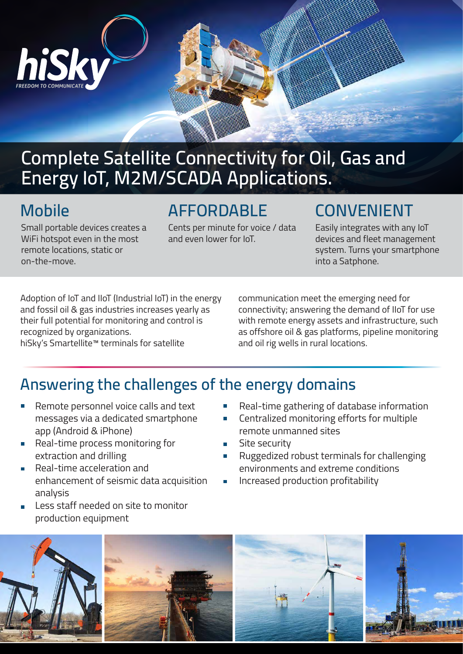

# **Complete Satellite Connectivity for Oil, Gas and Energy IoT, M2M/SCADA Applications.**

#### **Mobile**

Small portable devices creates a WiFi hotspot even in the most remote locations, static or on-the-move.

#### **AFFORDABLE**

Cents per minute for voice / data and even lower for IoT.

## **CONVENIENT**

Easily integrates with any IoT devices and fleet management system. Turns your smartphone into a Satphone.

Adoption of IoT and IIoT (Industrial IoT) in the energy and fossil oil & gas industries increases yearly as their full potential for monitoring and control is recognized by organizations.

hiSky's Smartellite™ terminals for satellite

communication meet the emerging need for connectivity; answering the demand of IIoT for use with remote energy assets and infrastructure, such as offshore oil & gas platforms, pipeline monitoring and oil rig wells in rural locations.

### **Answering the challenges of the energy domains**

- Remote personnel voice calls and text messages via a dedicated smartphone app (Android & iPhone)
- **The Co** Real-time process monitoring for extraction and drilling
- Real-time acceleration and  $\overline{\phantom{a}}$ enhancement of seismic data acquisition analysis
- Less staff needed on site to monitor production equipment
- Real-time gathering of database information
- Centralized monitoring efforts for multiple remote unmanned sites
- Site security
- Ruggedized robust terminals for challenging environments and extreme conditions
- Increased production profitability